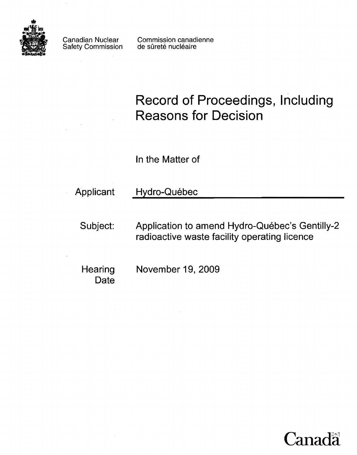

Safety Commission

Canadian Nuclear Commission canadienne<br>Safety Commission de sûreté nucléaire

**Record of Proceedings, Including Reasons for Decision** 

In the Matter of

Applicant Hydro-Québec

Subject: Application to amend Hydro-Québec's Gentilly-2 radioactive waste facility operating licence

Hearing November 19, 2009 Date

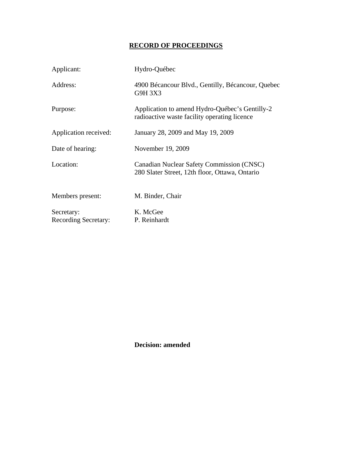# **RECORD OF PROCEEDINGS**

| Applicant:                                | Hydro-Québec                                                                                   |
|-------------------------------------------|------------------------------------------------------------------------------------------------|
| Address:                                  | 4900 Bécancour Blvd., Gentilly, Bécancour, Quebec<br>G9H 3X3                                   |
| Purpose:                                  | Application to amend Hydro-Québec's Gentilly-2<br>radioactive waste facility operating licence |
| Application received:                     | January 28, 2009 and May 19, 2009                                                              |
| Date of hearing:                          | November 19, 2009                                                                              |
| Location:                                 | Canadian Nuclear Safety Commission (CNSC)<br>280 Slater Street, 12th floor, Ottawa, Ontario    |
| Members present:                          | M. Binder, Chair                                                                               |
| Secretary:<br><b>Recording Secretary:</b> | K. McGee<br>P. Reinhardt                                                                       |

**Decision: amended**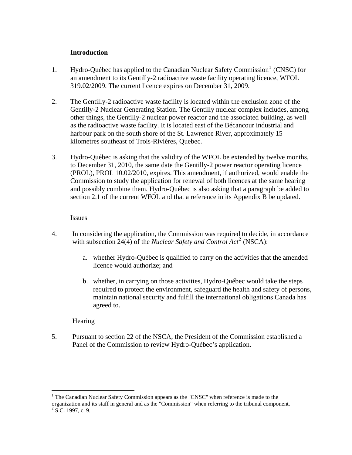#### **Introduction**

- <span id="page-3-0"></span>[1](#page-3-1). Hydro-Québec has applied to the Canadian Nuclear Safety Commission<sup>1</sup> (CNSC) for an amendment to its Gentilly-2 radioactive waste facility operating licence, WFOL 319.02/2009. The current licence expires on December 31, 2009.
- 2. The Gentilly-2 radioactive waste facility is located within the exclusion zone of the Gentilly-2 Nuclear Generating Station. The Gentilly nuclear complex includes, among other things, the Gentilly-2 nuclear power reactor and the associated building, as well as the radioactive waste facility. It is located east of the Bécancour industrial and harbour park on the south shore of the St. Lawrence River, approximately 15 kilometres southeast of Trois-Rivières, Quebec.
- 3. Hydro-Québec is asking that the validity of the WFOL be extended by twelve months, to December 31, 2010, the same date the Gentilly-2 power reactor operating licence (PROL), PROL 10.02/2010, expires. This amendment, if authorized, would enable the Commission to study the application for renewal of both licences at the same hearing and possibly combine them. Hydro-Québec is also asking that a paragraph be added to section 2.1 of the current WFOL and that a reference in its Appendix B be updated.

#### **Issues**

- 4. In considering the application, the Commission was required to decide, in accordance with subsection [2](#page-3-2)4(4) of the *Nuclear Safety and Control Act*<sup>2</sup> (NSCA):
	- a. whether Hydro-Québec is qualified to carry on the activities that the amended licence would authorize; and
	- b. whether, in carrying on those activities, Hydro-Québec would take the steps required to protect the environment, safeguard the health and safety of persons, maintain national security and fulfill the international obligations Canada has agreed to.

## **Hearing**

1

5. Pursuant to section 22 of the NSCA, the President of the Commission established a Panel of the Commission to review Hydro-Québec's application.

<span id="page-3-2"></span><span id="page-3-1"></span><sup>&</sup>lt;sup>1</sup> The Canadian Nuclear Safety Commission appears as the "CNSC" when reference is made to the organization and its staff in general and as the "Commission" when referring to the tribunal component.  $2$  S.C. 1997, c. 9.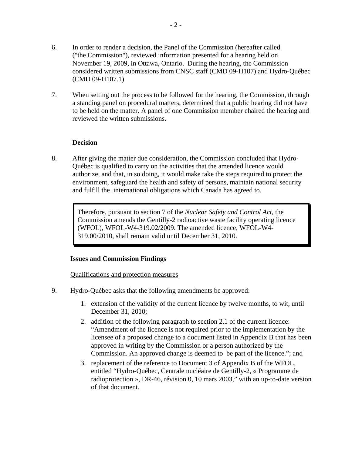<span id="page-4-0"></span>7. When setting out the process to be followed for the hearing, the Commission, through a standing panel on procedural matters, determined that a public hearing did not have to be held on the matter. A panel of one Commission member chaired the hearing and reviewed the written submissions.

## **Decision**

8. After giving the matter due consideration, the Commission concluded that Hydro-Québec is qualified to carry on the activities that the amended licence would authorize, and that, in so doing, it would make take the steps required to protect the environment, safeguard the health and safety of persons, maintain national security and fulfill the international obligations which Canada has agreed to.

Therefore, pursuant to section 7 of the *Nuclear Safety and Control Act*, the Commission amends the Gentilly-2 radioactive waste facility operating licence (WFOL), WFOL-W4-319.02/2009. The amended licence, WFOL-W4- 319.00/2010, shall remain valid until December 31, 2010.

#### **Issues and Commission Findings**

Qualifications and protection measures

- 9. Hydro-Québec asks that the following amendments be approved:
	- 1. extension of the validity of the current licence by twelve months, to wit, until December 31, 2010;
	- 2. addition of the following paragraph to section 2.1 of the current licence: "Amendment of the licence is not required prior to the implementation by the licensee of a proposed change to a document listed in Appendix B that has been approved in writing by the Commission or a person authorized by the Commission. An approved change is deemed to be part of the licence."; and
	- 3. replacement of the reference to Document 3 of Appendix B of the WFOL, entitled "Hydro-Québec, Centrale nucléaire de Gentilly-2, « Programme de radioprotection », DR-46, révision 0, 10 mars 2003," with an up-to-date version of that document.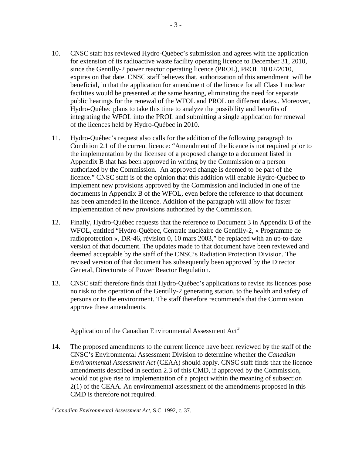- <span id="page-5-0"></span>10. CNSC staff has reviewed Hydro-Québec's submission and agrees with the application for extension of its radioactive waste facility operating licence to December 31, 2010, since the Gentilly-2 power reactor operating licence (PROL), PROL 10.02/2010, expires on that date. CNSC staff believes that, authorization of this amendment will be beneficial, in that the application for amendment of the licence for all Class I nuclear facilities would be presented at the same hearing, eliminating the need for separate public hearings for the renewal of the WFOL and PROL on different dates.. Moreover, Hydro-Québec plans to take this time to analyze the possibility and benefits of integrating the WFOL into the PROL and submitting a single application for renewal of the licences held by Hydro-Québec in 2010.
- 11. Hydro-Québec's request also calls for the addition of the following paragraph to Condition 2.1 of the current licence: "Amendment of the licence is not required prior to the implementation by the licensee of a proposed change to a document listed in Appendix B that has been approved in writing by the Commission or a person authorized by the Commission. An approved change is deemed to be part of the licence." CNSC staff is of the opinion that this addition will enable Hydro-Québec to implement new provisions approved by the Commission and included in one of the documents in Appendix B of the WFOL, even before the reference to that document has been amended in the licence. Addition of the paragraph will allow for faster implementation of new provisions authorized by the Commission.
- 12. Finally, Hydro-Québec requests that the reference to Document 3 in Appendix B of the WFOL, entitled "Hydro-Québec, Centrale nucléaire de Gentilly-2, « Programme de radioprotection », DR-46, révision 0, 10 mars 2003," be replaced with an up-to-date version of that document. The updates made to that document have been reviewed and deemed acceptable by the staff of the CNSC's Radiation Protection Division. The revised version of that document has subsequently been approved by the Director General, Directorate of Power Reactor Regulation.
- 13. CNSC staff therefore finds that Hydro-Québec's applications to revise its licences pose no risk to the operation of the Gentilly-2 generating station, to the health and safety of persons or to the environment. The staff therefore recommends that the Commission approve these amendments.

## Application of the Canadian Environmental Assessment Act<sup>[3](#page-5-1)</sup>

14. The proposed amendments to the current licence have been reviewed by the staff of the CNSC's Environmental Assessment Division to determine whether the *Canadian Environmental Assessment Act* (CEAA) should apply. CNSC staff finds that the licence amendments described in section 2.3 of this CMD, if approved by the Commission, would not give rise to implementation of a project within the meaning of subsection 2(1) of the CEAA. An environmental assessment of the amendments proposed in this CMD is therefore not required.

<u>.</u>

<span id="page-5-1"></span><sup>3</sup> *Canadian Environmental Assessment Act*, S.C. 1992, c. 37.